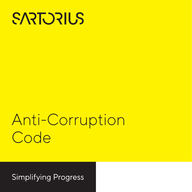

# Anti-Corruption Code

**Simplifying Progress**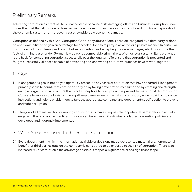# Preliminary Remarks

Tolerating corruption as a fact of life is unacceptable because of its damaging effects on business. Corruption undermines the trust that all those who take part in the economic circuit have in the integrity and functional capability of the economic system and, moreover, causes considerable economic damage.

Corruption as defined by this Anti-Corruption Code is any abuse of one's position instigated by a third party or done on one's own initiative to gain an advantage for oneself or for a third party in an active or a passive manner. In particular, corruption includes offering and taking bribes or granting and accepting undue advantages, which constitute the facts of criminal cases under German law, as well as comparable criminal acts of other legal systems. Early prevention is the basis for combating corruption successfully over the long term. To ensure that corruption is prevented and fought successfully, all those capable of preventing and uncovering corruptive practices have to work together.

# 1 Goal

- 1.1 Management's goal is not only to rigorously prosecute any cases of corruption that have occurred. Management primarily seeks to counteract corruption early on by taking preventative measures and by creating and strengthening an organizational structure that is not susceptible to corruption. The present terms of this Anti-Corruption Code are to serve as the basis for making all employees aware of the risks of corruption, while providing guidance, instructions and help to enable them to take the appropriate company- and department-specific action to prevent and fight corruption.
- 1.2 The goal of all measures for preventing corruption is to make it impossible for potential perpetrators to actually engage in their corruptive practices. This goal can be achieved if individually adapted prevention policies are developed and rigorously implemented.

# 2 Work Areas Exposed to the Risk of Corruption

2.1 Every department in which the information available or decisions made represents a material or a non-material benefit for third parties outside the company is considered to be exposed to the risk of corruption. There is an increased risk of corruption if the advantage possible is of special significance or of a significant scope.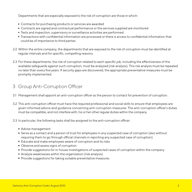Departments that are especially exposed to the risk of corruption are those in which:

- Contracts for purchasing products or services are awarded
- Contracts are signed and contractual performance or the services supplied are monitored
- Tests and inspection, supervisory or surveillance activities are performed
- Transactions with confidential information are processed or there is access to confidential information that could be of importance to third parties
- 2.2 Within the entire company, the departments that are exposed to the risk of corruption must be identified at regular intervals and for specific, compelling reasons.
- 2.3 For these departments, the risk of corruption related to each specific job, including the effectiveness of the available safeguards against such corruption, must be analyzed (risk analysis). This risk analysis must be repeated no later than every five years. If security gaps are discovered, the appropriate preventative measures must be promptly implemented.

# 3 Group Anti-Corruption Officer

- 3.1 Management shall appoint an anti-corruption officer as the person to contact for prevention of corruption.
- 3.2 This anti-corruption officer must have the required professional and social skills to ensure that employees are given informed advice and guidance concerning anti-corruption measures. The anti-corruption officer's duties must be compatible, and not interfere with, his or her other regular duties within the company.
- 3.3 In particular, the following tasks shall be assigned to the anti-corruption officer:
	- Advise management
	- Serve as a contact and a person of trust for employees in any suspected case of corruption (also without requiring them to go through official channels in reporting any suspected case of corruption)
	- Educate and make employees aware of corruption and its risks
	- Observe and assess signs of corruption
	- Provide suggestions for in-house investigations of suspected cases of corruption within the company
	- Analyze weaknesses within the organization (risk analysis)
	- **Provide suggestions for taking suitable preventative measures**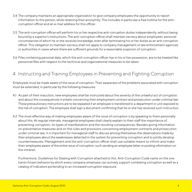- 3.4 The company maintains an appropriate organization to give company employees the opportunity to report information to this person, while retaining their anonymity. This includes in particular a free hotline for the anti- corruption officer and an e-mail address for this officer.
- 3.5 The anti-corruption officer will perform his or her respective anti-corruption duties independently, without being bound by a superior's instructions. The anti-corruption officer shall maintain secrecy about employees' personal circumstances of which he or she receives knowledge, even after terminating his or her duties as an anti-corruption officer. This obligation to maintain secrecy shall not apply to company management or law enforcement agencies or authorities in cases where there are sufficient grounds for a reasonable suspicion of corruption.
- 3.6 Files containing personal data, which the anti-corruption officer has in his or her possession, are to be treated like personnel files with respect to the technical and organizational measures to be taken.

## 4 Instructing and Training Employees in Preventing and Fighting Corruption

Employees must be made aware of the issue of corruption. Their awareness of the problems associated with corruption must be extended, in particular by the following measures:

- 4.1 As part of their induction, new employees shall be instructed about the severity of the unlawful act of corruption and about the consequences it entails concerning their employment contract and prosecution under criminal law. These precautionary instructions are to be repeated if an employee is transferred to a department or unit exposed to the risk of corruption. The employee shall sign a document confirming that he or she has received such instruction.
- 4.2 The most effective way of making employees aware of the issue of corruption is by speaking to them personally about this. At regular intervals, managerial employees shall clearly explain to their staff the importance of preventing corruption, its types of manifestation and the resulting consequences. Besides giving information on preventative measures and on the rules and provisions concerning employment contracts and prosecution under criminal law, it is important for managerial staff to discuss among themselves the observations made by their employees about the weaknesses detected in the system for preventing corruption and to jointly develop countermeasures. Management and the anti-corruption officer shall use suitable means to inform and make their employees aware of the entire issue of corruption, such sending an employee letter or posting information on the intranet.

Furthermore, Guidelines for Dealing with Corruption attached to this Anti-Corruption Code name on the one hand chosen behavior by which every company employee can actively support combating corruption as well as a catalog of indicators portending to an increased corruption exposure.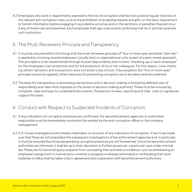4.3 Employees who work in departments exposed to the risk of corruption shall be instructed at regular intervals on the relevant anti-corruption rules, such as the prohibition of accepting rewards and gifts, on the basic requirement to furnish information before engaging in any sideline activities and on the sanctions or penalties they will incur if any of these rules are breached. Each employee shall sign a document confirming that he or she has received such instruction.

# 5 The Multi Reviewers Principle and Transparency

- 5.1 It must be ensured within the Group that the multi reviewers principle of "four or more eyes are better than two" is applied by involving several employees (usually two) or organizational units as part of a peer review approach. This principle is to be implemented through mutual responsibility and involves "checking up on each employee" for the employee's own protection and for the protection of his or her colleagues. For this reason, cross-checking others' decisions and transactions does not entail a loss of trust. If by exception the "four or more eyes" principle cannot be applied, other measures for preventing corruption are to be taken and documented.
- 5.2 The basis for transparency in processing transactions and in decision-making is formed by defined rules of responsibility and clear limits imposed on the levels of decision-making authority. These must be ensured by complete, clear and easy-to-understand documents. Transaction reviews, reporting and clear rules on signatures support this basis.

# 6 Conduct with Respect to Suspected Incidents of Corruption

- 6.1 If any indications of corruptive practices are confirmed, the law enforcement agencies or authorities responsible must be immediately involved at the earliest by the anti-corruption officer or the company management.
- 6.2 If in-house investigations are initially undertaken on account of any indications of corruption, it has to be made sure that these do not jeopardize the subsequent investigations of law enforcement agencies and, in particular, it must be ensured that those perpetrating corruptive practices are not forewarned. Once the law enforcement authorities are informed, it shall be up to their discretion to further prosecute a particular case under criminal law. Measures for preventing any suspects from concealing their activities or evidence, such as withdrawing an employee's assignment to transactions currently in progress or already terminated or confiscating their work materials or office shall be taken only in agreement and cooperation with law enforcement authorities.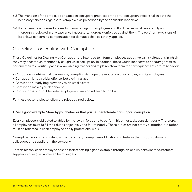- 6.3 The manager of the employee engaged in corruptive practices or the anti-corruption officer shall initiate the necessary sanctions against this employee as prescribed by the applicable labor laws.
- 6.4 If any damage is incurred, claims for damages against employees and third parties must be carefully and thoroughly reviewed in any case and, if necessary, rigorously enforced against them. The pertinent provisions of labor laws concerning compensation for damages shall be strictly applied.

# Guidelines for Dealing with Corruption

These Guidelines for Dealing with Corruption are intended to inform employees about typical risk situations in which they may become unintentionally caught up in corruption. In addition, these Guidelines serve to encourage staff to perform their tasks dutifully and in a law-abiding manner and to plainly show them the consequences of corrupt behavior:

- Corruption is detrimental to everyone; corruption damages the reputation of a company and its employees
- Corruption is not a trivial offense: but a criminal act
- Corruption already begins when you do small favors
- Corruption makes you dependent
- Corruption is punishable under employment law and will lead to job loss

For these reasons, please follow the rules outlined below:

#### **1 Set a good example: Show by your behavior that you neither tolerate nor support corruption.**

Every employee is obligated to abide by the laws in force and to perform his or her tasks conscientiously. Therefore, all employees must fulfill their duties objectively and fair-mindedly. These duties are not empty platitudes, but rather must be reflected in each employee's daily professional work.

Corrupt behavior is inconsistent with and contrary to employee obligations. It destroys the trust of customers, colleagues and suppliers in the company.

For this reason, each employee has the task of setting a good example through his or own behavior for customers, suppliers, colleagues and even for managers.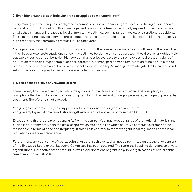## **2 Even higher standards of behavior are to be applied to managerial staff.**

Every manager in the company is obligated to combat corruptive behavior rigorously and by taking his or her own personal responsibility. Part of fulfilling management tasks in departments particularly exposed to the risk of corruption entails that a manager increase the level of monitoring activities, such as random review of discretionary decisions. These monitoring activities serve to protect employees and are intended to make it clear to outsiders that there is a high probability that corruptive practices will be uncovered.

Managers need to watch for signs of corruption and inform the company's anti-corruption officer and their own boss if they have any concrete suspicions concerning activities bordering on corruption; i.e., if they discover any objectively traceable clues to corrupt behavior. Managers shall always be available to their employees to discuss any signs of corruption that their group of employees has detected. A primary part of managers' function of being a role model is the credibility of their own behavior with respect to incorruptibility. All managers are obligated to be cautious and self-critical about the possibilities and power entailed by their position.

### **3 Do not accept or give any rewards or gifts.**

There is a very fine line separating social courtesy involving small favors or tokens of regard and corruption, as corruption often begins by accepting rewards, gifts, tokens of regard and privileges, personal advantages or preferential treatment. Therefore, it is not allowed:

- to give government employees any personal benefits, donations or grants of any nature
- to give employees of private industry any gift with an equivalent value of more than EUR 100

Exceptions to this rule are promotional gifts from the company's annual product range of promotional materials and business entertainment within the usual scope, which must be in line with a country's particular customs and be reasonable in terms of price and frequency. If this rule is contrary to more stringent local regulations, these local regulations shall take precedence.

Furthermore, any sponsoring of sports, cultural or other such events shall not be permitted unless the prior consent of the Executive Board or the Executive Committee has been obtained. The same shall apply to donations to private organizations, irrespective of the amount, as well as for donations or grants to public organizations of a total annual sum of more than EUR 200.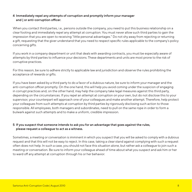## **4 Immediately repel any attempts of corruption and promptly inform your manager and | or anti-corruption officer.**

When you contact third parties, i.e., persons outside the company, you need to put this business relationship on a clear footing and immediately repel any attempt at corruption. You must never allow such third parties to gain the impression that you are open to receiving "little personal advantages." Do not shy away from rejecting or returning a gift, requesting that the giver understand that you need to respect specific rules applicable to the company's policy concerning gifts.

If you work in a company department or unit that deals with awarding contracts, you must be especially aware of attempts by third parties to influence your decisions. These departments and units are most prone to the risk of corruptive practices.

For this reason, be sure to adhere strictly to applicable law and jurisdiction and observe the rules prohibiting the acceptance of rewards or gifts.

If you have been asked by a third party to do a favor of a dubious nature, be sure to inform your manager and the anti-corruption officer promptly. On the one hand, this will help you avoid coming under the suspicion of engaging in corrupt practices and, on the other hand, may help the company take legal measures against this third party, depending on the circumstances. If you repel an attempt at corruption on your own, but do not disclose this to your supervisor, your counterpart will approach one of your colleagues and make another attempt. Therefore, help protect your colleagues from such attempts at corruption by third parties by rigorously disclosing such action to those responsible. All employees, both managers and subordinates, need to pull on the same rope in order to form a bulwark against such attempts and to make a uniform, credible impression.

## **5 If you suspect that someone intends to ask you for an advantage that goes against the rules, please request a colleague to act as a witness.**

Sometimes, a meeting or conversation is imminent in which you suspect that you will be asked to comply with a dubious request and that this will not be easy to reject. In this case, taking a clear stand against complying with such a request often does not help. In such a case, you should not face this situation alone, but rather ask a colleague to join such a meeting or conversation. Be sure to inform your colleague ahead of time about what you suspect and ask him or her to ward off any attempt at corruption through his or her behavior.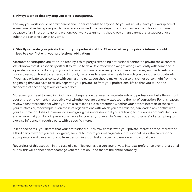### **6 Always work so that any step you take is transparent.**

The way you work should be transparent and understandable to anyone. As you will usually leave your workplace at some time (after being assigned to new tasks or moved to a new department) or may be absent for a short time because of an illness or to go on vacation, your work assignments should be so transparent that a successor or a substitute can take over at any time.

## **7 Strictly separate your private life from your professional life. Check whether your private interests could lead to a conflict with your professional obligations.**

Attempts at corruption are often initiated by a third party's extending professional contact to private social contact. We all know that it is especially difficult to refuse to do a little favor when we get along excellently with someone in a private, social context and you yourself or your own family receives gifts or other advantages, such as tickets to a concert, vacation travel together at a discount, invitations to expensive meals to which you cannot reciprocate, etc. If you have private social contact with such a third party, you should make it clear to this other person right from the beginning that you have to strictly separate your private life from your professional life so that you will not be suspected of accepting favors or even bribes.

Moreover, you need to keep in mind this strict separation between private interests and professional tasks throughout your entire employment, irrespectively of whether you are generally exposed to the risk of corruption. For this reason, review each transaction for which you are also responsible to determine whether your private interests or those of your relatives or, for example, even those of organizations with which you are affiliated, can lead to any conflict with your full-time job duties. However, do avoid giving the impression that you are trying to influence another's decision and ensure that you do not give anyone cause for concern, not even by "creating an atmosphere" of attempting to exercise influence through a party with a specific interest.

If in a specific task you detect that your professional duties may conflict with your private interests or the interests of a third party to whom you feel obligated, be sure to inform your manager about this so that he or she can respond appropriately and can exempt you from performing such tasks in specific cases on an individual basis.

Regardless of this aspect, if in the case of a conflict you have given your private interests preference over professional duties, this will sooner or later damage your reputation – and that of the entire company.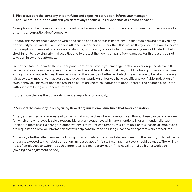## **8 Please support the company in identifying and exposing corruption. Inform your manager and | or anti-corruption officer if you detect any specific clues or evidence of corrupt behavior.**

Corruption can be prevented and combated only if everyone feels responsible and all pursue the common goal of a ensuring a "corruption-free" company.

For one, this means that everyone within the scope of his or her tasks has to ensure that outsiders are not given any opportunity to unlawfully exercise their influence on decisions. For another, this means that you do not have to "cover" for corrupt coworkers out of a false understanding of solidarity or loyalty. In this case, everyone is obligated to help shed light into resolving criminal activities and to protect their own company from damage. For this reason, do not take part in cover-up attempts.

Do not hesitate to speak to the company anti-corruption officer, your manager or the workers´ representative if the behavior of your coworkers gives you specific and verifiable indication that they could be taking bribes or otherwise engaging in corrupt activities. These persons will then decide whether and which measures are to be taken. However, it is absolutely imperative that you do not voice your suspicion unless you have specific and verifiable indication of such behavior. This must not escalate into a situation where colleagues are denounced or their names blacklisted without there being any concrete evidence.

Furthermore there is the possibility to render reports anonymously.

### **<sup>9</sup> Support the company in recognizing flawed organizational structures that favor corruption.**

Often, entrenched procedures lead to the formation of niches where corruption can thrive. These can be procedures for which one employee is solely responsible or work sequences which are intentionally or unintentionally kept unclear. In most cases, a change in organizational structures can remedy this situation. For this reason, all employees are requested to provide information that will help contribute to ensuring clear and transparent work procedures.

Moreover, a further effective means of ruling out any points of risk is to rotate personnel. For this reason, in departments and units exposed to the risk of corruption, increased use of this staff management tool should be made. The willingness of employees to switch to such different tasks is mandatory, even if this usually entails a higher workload (training and adjustment period).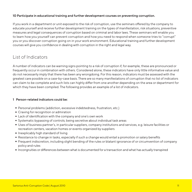## **10 Participate in educational training and further development courses on preventing corruption.**

If you work in a department or unit exposed to the risk of corruption, use the seminars offered by the company to educate yourself and receive further development training on the types of manifestation, risk situations, preventive measures and legal consequences of corruption based on criminal and labor laws. These seminars will enable you to learn how you yourself can prevent corruption and how you need to respond when someone tries to "corrupt" you or you discover corruption going on in your work environment. Educational training and further development courses will give you confidence in dealing with corruption in the right and legal way.

# List of Indicators

A number of indicators can be warning signs pointing to a risk of corruption if, for example, these are pronounced or frequently occur in combination with others. Considered alone, these indicators have only little informative value and do not necessarily imply that there has been any wrongdoing. For this reason, indicators must be assessed with the greatest care possible on a case-by-case basis. There are so many manifestations of corruption that no list of indicators can claim to be complete and such lists can highly differ from one another depending on the area or department for which they have been compiled. The following provides an example of a list of indicators.

### **1 Person-related indicators could be:**

- Personal problems (addiction, excessive indebtedness, frustration, etc.)
- Craving for recognition or admiration
- Lack of identification with the company and one's own work
- Systematic bypassing of controls; being secretive about individual task areas
- Uses of business partner's, in particular suppliers, company institutions and services, e.g. leisure facilities or recreation centers, vacation homes or events organized by suppliers
- $\blacksquare$  Inexplicably high standard of living
- Resistance to change in tasks, especially if such a change would entail a promotion or salary benefits
- Frequent indiscretion, including slight bending of the rules or blatant ignorance of or circumvention of company policy and rules
- Incongruities or differences between what is documented for a transaction and what has actually transpired